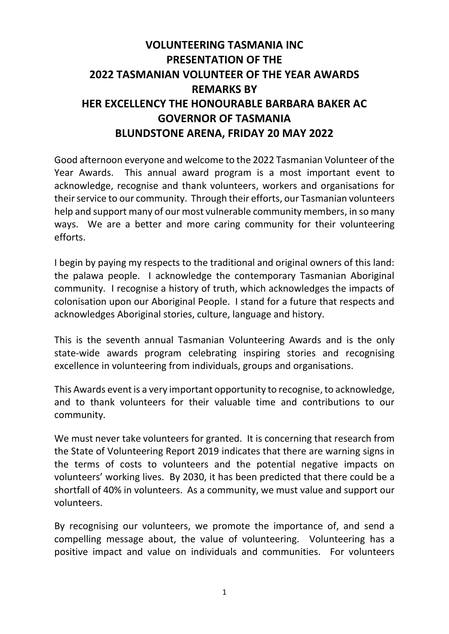## **VOLUNTEERING TASMANIA INC PRESENTATION OF THE 2022 TASMANIAN VOLUNTEER OF THE YEAR AWARDS REMARKS BY HER EXCELLENCY THE HONOURABLE BARBARA BAKER AC GOVERNOR OF TASMANIA BLUNDSTONE ARENA, FRIDAY 20 MAY 2022**

Good afternoon everyone and welcome to the 2022 Tasmanian Volunteer of the Year Awards. This annual award program is a most important event to acknowledge, recognise and thank volunteers, workers and organisations for their service to our community. Through their efforts, our Tasmanian volunteers help and support many of our most vulnerable community members, in so many ways. We are a better and more caring community for their volunteering efforts.

I begin by paying my respects to the traditional and original owners of this land: the palawa people. I acknowledge the contemporary Tasmanian Aboriginal community. I recognise a history of truth, which acknowledges the impacts of colonisation upon our Aboriginal People. I stand for a future that respects and acknowledges Aboriginal stories, culture, language and history.

This is the seventh annual Tasmanian Volunteering Awards and is the only state-wide awards program celebrating inspiring stories and recognising excellence in volunteering from individuals, groups and organisations.

This Awards event is a very important opportunity to recognise, to acknowledge, and to thank volunteers for their valuable time and contributions to our community.

We must never take volunteers for granted. It is concerning that research from the State of Volunteering Report 2019 indicates that there are warning signs in the terms of costs to volunteers and the potential negative impacts on volunteers' working lives. By 2030, it has been predicted that there could be a shortfall of 40% in volunteers. As a community, we must value and support our volunteers.

By recognising our volunteers, we promote the importance of, and send a compelling message about, the value of volunteering. Volunteering has a positive impact and value on individuals and communities. For volunteers